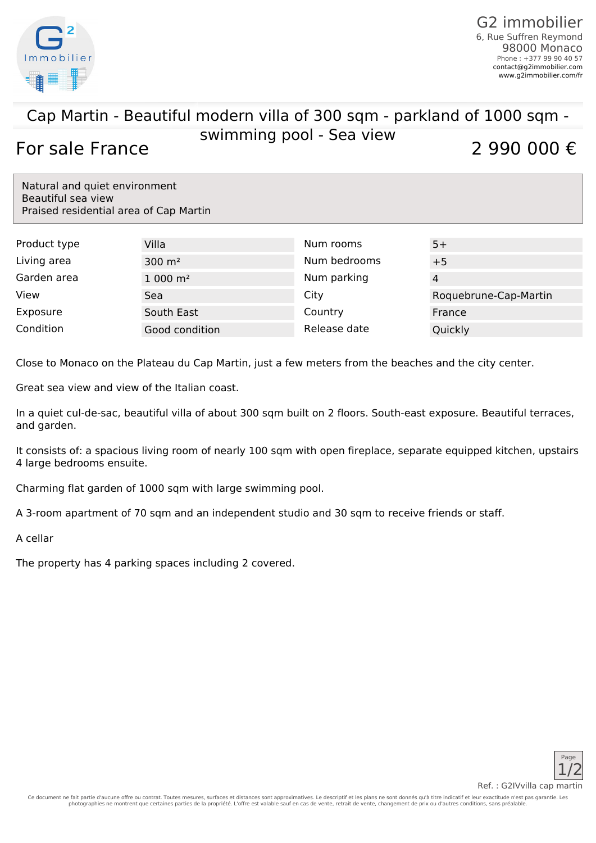

## Cap Martin - Beautiful modern villa of 300 sqm - parkland of 1000 sqm swimming pool - Sea view For sale France  $\frac{2 \text{ m} \cdot \text{ m} \cdot \text{ m} \cdot \text{ m}}{2,990,000 \cdot \text{m}}$

Natural and quiet environment Beautiful sea view Praised residential area of Cap Martin

| Product type | Villa               | Num rooms    | $5+$                  |
|--------------|---------------------|--------------|-----------------------|
| Living area  | $300 \; \text{m}^2$ | Num bedrooms | $+5$                  |
| Garden area  | $1000 \text{ m}^2$  | Num parking  | 4                     |
| View         | Sea                 | City         | Roquebrune-Cap-Martin |
| Exposure     | South East          | Country      | France                |
| Condition    | Good condition      | Release date | Quickly               |

Close to Monaco on the Plateau du Cap Martin, just a few meters from the beaches and the city center.

Great sea view and view of the Italian coast.

In a quiet cul-de-sac, beautiful villa of about 300 sqm built on 2 floors. South-east exposure. Beautiful terraces, and garden.

It consists of: a spacious living room of nearly 100 sqm with open fireplace, separate equipped kitchen, upstairs 4 large bedrooms ensuite.

Charming flat garden of 1000 sqm with large swimming pool.

A 3-room apartment of 70 sqm and an independent studio and 30 sqm to receive friends or staff.

A cellar

The property has 4 parking spaces including 2 covered.



Ref. : G2IVvilla cap martin